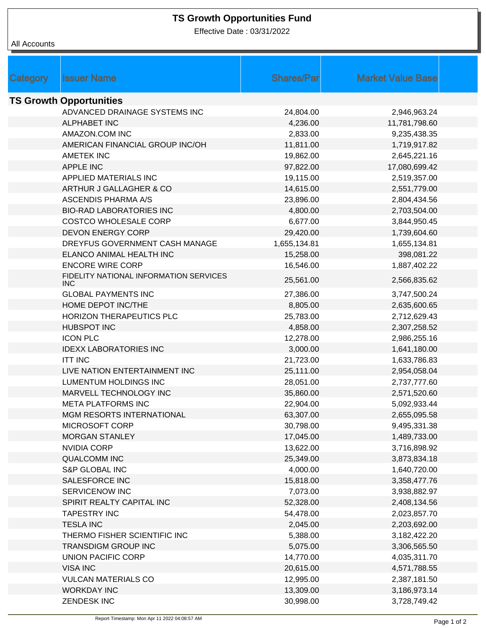## **TS Growth Opportunities Fund**

Effective Date : 03/31/2022

## All Accounts

| Category | <b>Issuer Name</b>                             | <b>Shares/Par</b> | <b>Market Value Base</b> |  |
|----------|------------------------------------------------|-------------------|--------------------------|--|
|          | <b>TS Growth Opportunities</b>                 |                   |                          |  |
|          | ADVANCED DRAINAGE SYSTEMS INC                  | 24,804.00         | 2,946,963.24             |  |
|          | <b>ALPHABET INC</b>                            | 4,236.00          | 11,781,798.60            |  |
|          | AMAZON.COM INC                                 | 2,833.00          | 9,235,438.35             |  |
|          | AMERICAN FINANCIAL GROUP INC/OH                | 11,811.00         | 1,719,917.82             |  |
|          | <b>AMETEK INC</b>                              | 19,862.00         | 2,645,221.16             |  |
|          | <b>APPLE INC</b>                               | 97,822.00         | 17,080,699.42            |  |
|          | APPLIED MATERIALS INC                          | 19,115.00         | 2,519,357.00             |  |
|          | ARTHUR J GALLAGHER & CO                        | 14,615.00         | 2,551,779.00             |  |
|          | <b>ASCENDIS PHARMA A/S</b>                     | 23,896.00         | 2,804,434.56             |  |
|          | <b>BIO-RAD LABORATORIES INC</b>                | 4,800.00          | 2,703,504.00             |  |
|          | <b>COSTCO WHOLESALE CORP</b>                   | 6,677.00          | 3,844,950.45             |  |
|          | <b>DEVON ENERGY CORP</b>                       | 29,420.00         | 1,739,604.60             |  |
|          | DREYFUS GOVERNMENT CASH MANAGE                 | 1,655,134.81      | 1,655,134.81             |  |
|          | ELANCO ANIMAL HEALTH INC                       | 15,258.00         | 398,081.22               |  |
|          | <b>ENCORE WIRE CORP</b>                        | 16,546.00         | 1,887,402.22             |  |
|          | FIDELITY NATIONAL INFORMATION SERVICES<br>INC. | 25,561.00         | 2,566,835.62             |  |
|          | <b>GLOBAL PAYMENTS INC</b>                     | 27,386.00         | 3,747,500.24             |  |
|          | HOME DEPOT INC/THE                             | 8,805.00          | 2,635,600.65             |  |
|          | HORIZON THERAPEUTICS PLC                       | 25,783.00         | 2,712,629.43             |  |
|          | <b>HUBSPOT INC</b>                             | 4,858.00          | 2,307,258.52             |  |
|          | <b>ICON PLC</b>                                | 12,278.00         | 2,986,255.16             |  |
|          | <b>IDEXX LABORATORIES INC</b>                  | 3,000.00          | 1,641,180.00             |  |
|          | <b>ITT INC</b>                                 | 21,723.00         | 1,633,786.83             |  |
|          | LIVE NATION ENTERTAINMENT INC                  | 25,111.00         | 2,954,058.04             |  |
|          | <b>LUMENTUM HOLDINGS INC</b>                   | 28,051.00         | 2,737,777.60             |  |
|          | MARVELL TECHNOLOGY INC                         | 35,860.00         | 2,571,520.60             |  |
|          | <b>META PLATFORMS INC</b>                      | 22,904.00         | 5,092,933.44             |  |
|          | MGM RESORTS INTERNATIONAL                      | 63,307.00         | 2,655,095.58             |  |
|          | MICROSOFT CORP                                 | 30,798.00         | 9,495,331.38             |  |
|          | <b>MORGAN STANLEY</b>                          | 17,045.00         | 1,489,733.00             |  |
|          | <b>NVIDIA CORP</b>                             | 13,622.00         | 3,716,898.92             |  |
|          | <b>QUALCOMM INC</b>                            | 25,349.00         | 3,873,834.18             |  |
|          | S&P GLOBAL INC                                 | 4,000.00          | 1,640,720.00             |  |
|          | SALESFORCE INC                                 | 15,818.00         | 3,358,477.76             |  |
|          | <b>SERVICENOW INC</b>                          | 7,073.00          | 3,938,882.97             |  |
|          | SPIRIT REALTY CAPITAL INC                      | 52,328.00         | 2,408,134.56             |  |
|          | <b>TAPESTRY INC</b>                            | 54,478.00         | 2,023,857.70             |  |
|          | <b>TESLA INC</b>                               | 2,045.00          | 2,203,692.00             |  |
|          | THERMO FISHER SCIENTIFIC INC                   | 5,388.00          | 3,182,422.20             |  |
|          | <b>TRANSDIGM GROUP INC</b>                     | 5,075.00          | 3,306,565.50             |  |
|          | UNION PACIFIC CORP                             | 14,770.00         | 4,035,311.70             |  |
|          | <b>VISA INC</b>                                | 20,615.00         | 4,571,788.55             |  |
|          | <b>VULCAN MATERIALS CO</b>                     | 12,995.00         | 2,387,181.50             |  |
|          | <b>WORKDAY INC</b>                             | 13,309.00         | 3,186,973.14             |  |
|          | <b>ZENDESK INC</b>                             | 30,998.00         | 3,728,749.42             |  |